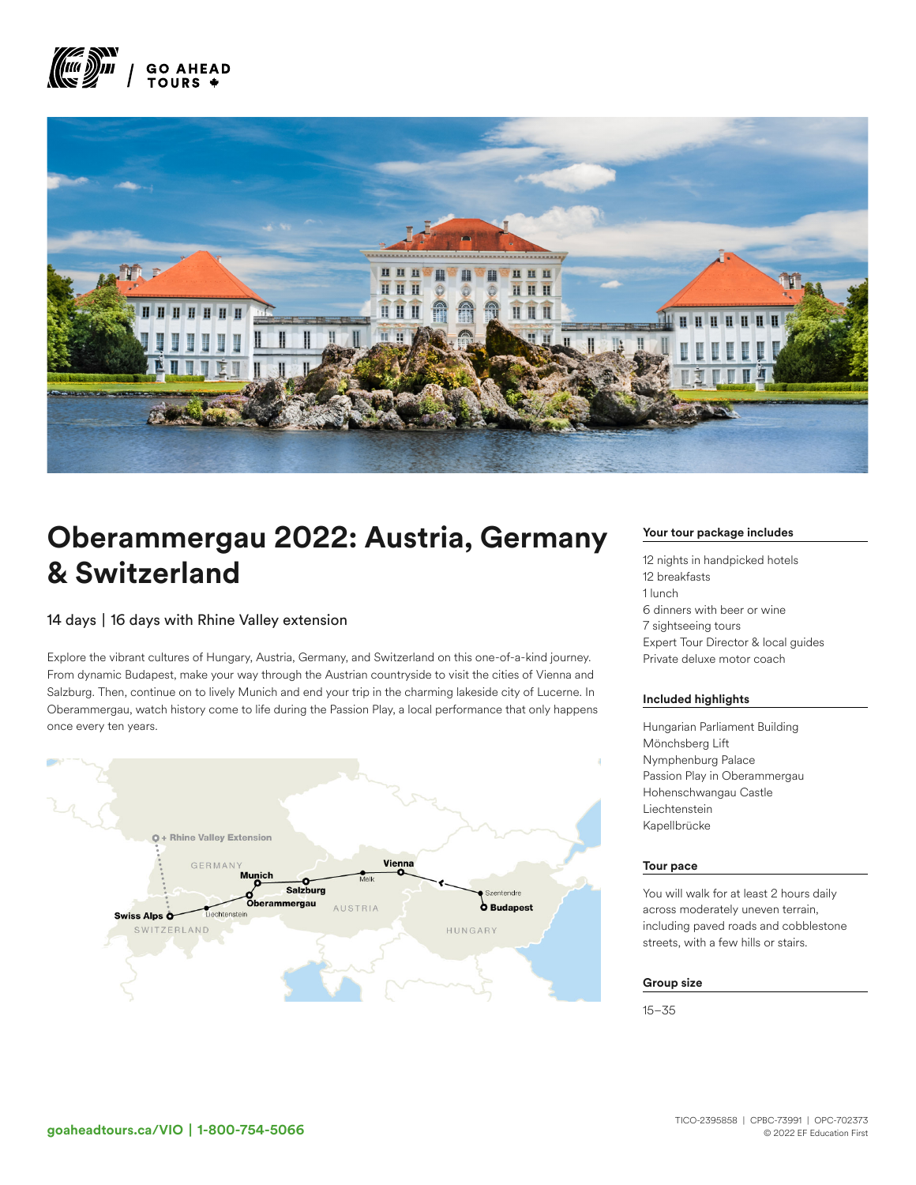



# Oberammergau 2022: Austria, Germany & Switzerland

## 14 days | 16 days with Rhine Valley extension

Explore the vibrant cultures of Hungary, Austria, Germany, and Switzerland on this one-of-a-kind journey. From dynamic Budapest, make your way through the Austrian countryside to visit the cities of Vienna and Salzburg. Then, continue on to lively Munich and end your trip in the charming lakeside city of Lucerne. In Oberammergau, watch history come to life during the Passion Play, a local performance that only happens once every ten years.



## Your tour package includes

12 nights in handpicked hotels 12 breakfasts 1 lunch 6 dinners with beer or wine 7 sightseeing tours Expert Tour Director & local guides Private deluxe motor coach

## Included highlights

Hungarian Parliament Building Mönchsberg Lift Nymphenburg Palace Passion Play in Oberammergau Hohenschwangau Castle Liechtenstein Kapellbrücke

### Tour pace

You will walk for at least 2 hours daily across moderately uneven terrain, including paved roads and cobblestone streets, with a few hills or stairs.

#### Group size

15–35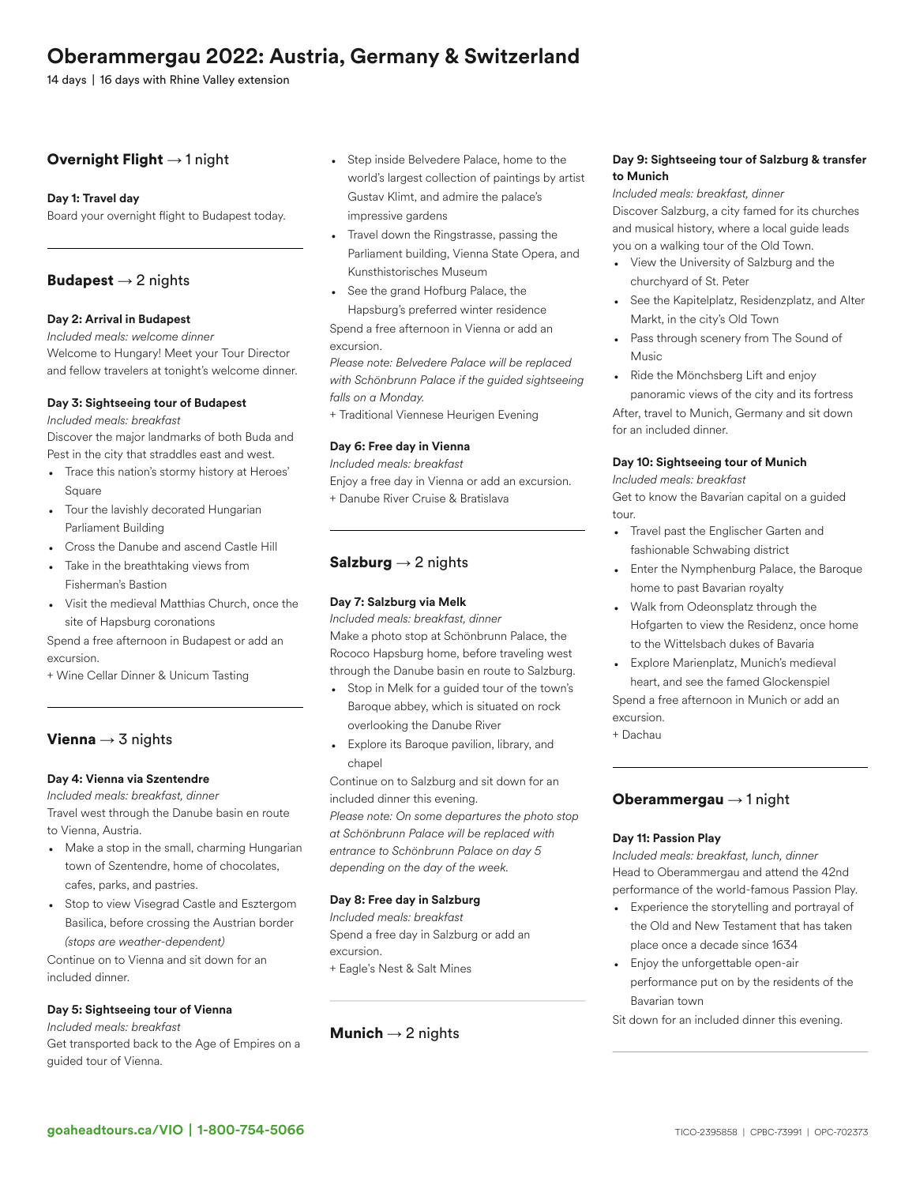## Oberammergau 2022: Austria, Germany & Switzerland

14 days | 16 days with Rhine Valley extension

## Overnight Flight  $\rightarrow$  1 night

### Day 1: Travel day

Board your overnight flight to Budapest today.

## **Budapest**  $\rightarrow$  2 nights

## Day 2: Arrival in Budapest

*Included meals: welcome dinner*

Welcome to Hungary! Meet your Tour Director and fellow travelers at tonight's welcome dinner.

## Day 3: Sightseeing tour of Budapest

*Included meals: breakfast*

Discover the major landmarks of both Buda and Pest in the city that straddles east and west.

- Trace this nation's stormy history at Heroes' Square
- Tour the lavishly decorated Hungarian Parliament Building
- Cross the Danube and ascend Castle Hill
- Take in the breathtaking views from Fisherman's Bastion
- Visit the medieval Matthias Church, once the site of Hapsburg coronations

Spend a free afternoon in Budapest or add an excursion.

+ Wine Cellar Dinner & Unicum Tasting

## Vienna  $\rightarrow$  3 nights

### Day 4: Vienna via Szentendre

*Included meals: breakfast, dinner* Travel west through the Danube basin en route

to Vienna, Austria.

- Make a stop in the small, charming Hungarian town of Szentendre, home of chocolates, cafes, parks, and pastries.
- Stop to view Visegrad Castle and Esztergom Basilica, before crossing the Austrian border *(stops are weather-dependent)*

Continue on to Vienna and sit down for an included dinner.

## Day 5: Sightseeing tour of Vienna

*Included meals: breakfast* Get transported back to the Age of Empires on a guided tour of Vienna.

- Step inside Belvedere Palace, home to the world's largest collection of paintings by artist Gustav Klimt, and admire the palace's impressive gardens
- Travel down the Ringstrasse, passing the Parliament building, Vienna State Opera, and Kunsthistorisches Museum
- See the grand Hofburg Palace, the Hapsburg's preferred winter residence

Spend a free afternoon in Vienna or add an excursion.

*Please note: Belvedere Palace will be replaced with Schönbrunn Palace if the guided sightseeing falls on a Monday.*

+ Traditional Viennese Heurigen Evening

## Day 6: Free day in Vienna

*Included meals: breakfast* Enjoy a free day in Vienna or add an excursion. + Danube River Cruise & Bratislava

## Salzburg  $\rightarrow$  2 nights

## Day 7: Salzburg via Melk

*Included meals: breakfast, dinner* Make a photo stop at Schönbrunn Palace, the Rococo Hapsburg home, before traveling west through the Danube basin en route to Salzburg.

- Stop in Melk for a guided tour of the town's Baroque abbey, which is situated on rock overlooking the Danube River
- Explore its Baroque pavilion, library, and chapel

Continue on to Salzburg and sit down for an included dinner this evening. *Please note: On some departures the photo stop*

*at Schönbrunn Palace will be replaced with entrance to Schönbrunn Palace on day 5 depending on the day of the week.*

#### Day 8: Free day in Salzburg

*Included meals: breakfast* Spend a free day in Salzburg or add an excursion. + Eagle's Nest & Salt Mines

## **Munich**  $\rightarrow$  2 nights

## Day 9: Sightseeing tour of Salzburg & transfer to Munich

*Included meals: breakfast, dinner* Discover Salzburg, a city famed for its churches and musical history, where a local guide leads you on a walking tour of the Old Town.

- View the University of Salzburg and the churchyard of St. Peter
- See the Kapitelplatz, Residenzplatz, and Alter Markt, in the city's Old Town
- Pass through scenery from The Sound of Music
- Ride the Mönchsberg Lift and enjoy panoramic views of the city and its fortress After, travel to Munich, Germany and sit down for an included dinner.

## Day 10: Sightseeing tour of Munich

*Included meals: breakfast* Get to know the Bavarian capital on a guided tour.

- Travel past the Englischer Garten and fashionable Schwabing district
- Enter the Nymphenburg Palace, the Baroque home to past Bavarian royalty
- Walk from Odeonsplatz through the Hofgarten to view the Residenz, once home to the Wittelsbach dukes of Bavaria
- Explore Marienplatz, Munich's medieval heart, and see the famed Glockenspiel Spend a free afternoon in Munich or add an excursion.
- + Dachau

## Oberammergau  $\rightarrow$  1 night

## Day 11: Passion Play

*Included meals: breakfast, lunch, dinner* Head to Oberammergau and attend the 42nd performance of the world-famous Passion Play.

- Experience the storytelling and portrayal of the Old and New Testament that has taken place once a decade since 1634
- Enjoy the unforgettable open-air performance put on by the residents of the Bavarian town
- Sit down for an included dinner this evening.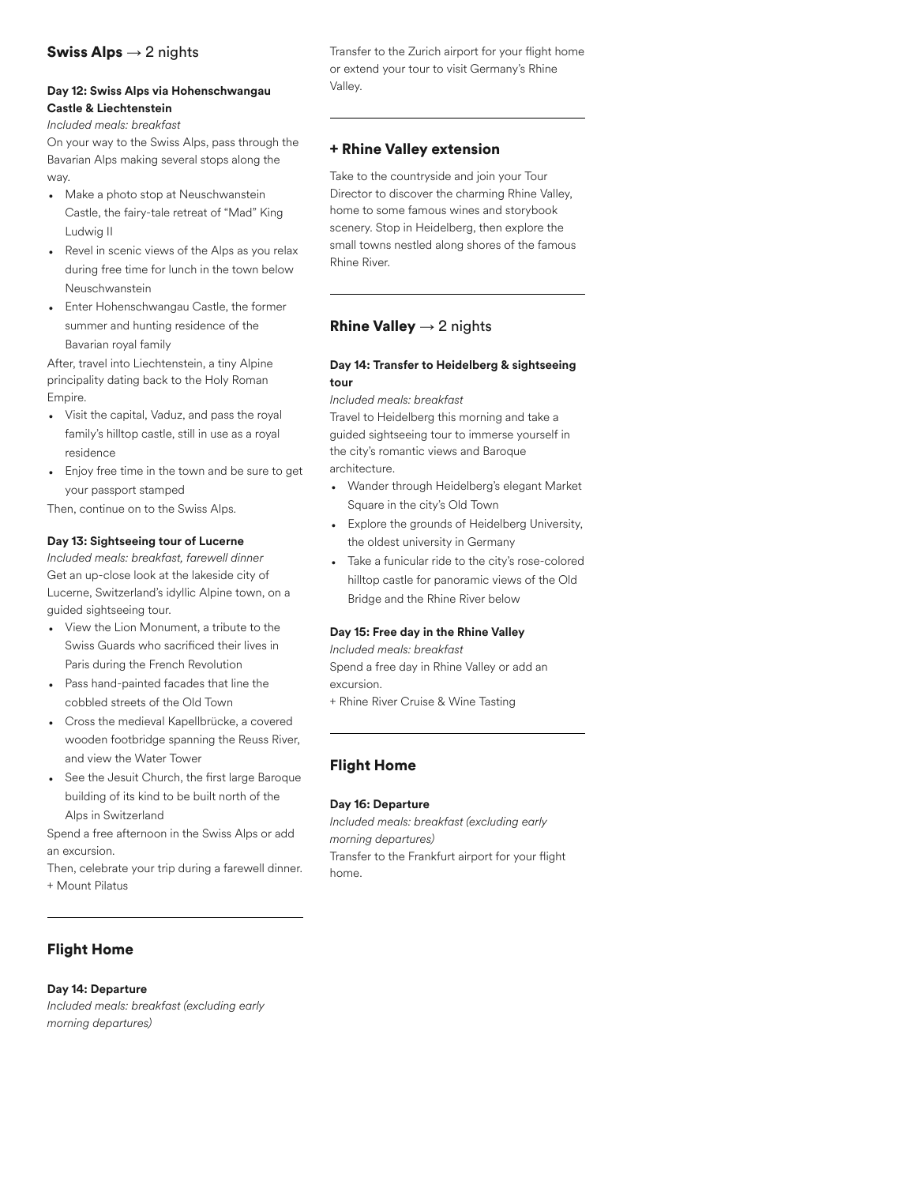## **Swiss Alps**  $\rightarrow$  2 nights

## Day 12: Swiss Alps via Hohenschwangau Castle & Liechtenstein

*Included meals: breakfast*

On your way to the Swiss Alps, pass through the Bavarian Alps making several stops along the way.

- Make a photo stop at Neuschwanstein Castle, the fairy-tale retreat of "Mad" King Ludwig II
- Revel in scenic views of the Alps as you relax during free time for lunch in the town below Neuschwanstein
- Enter Hohenschwangau Castle, the former summer and hunting residence of the Bavarian royal family

After, travel into Liechtenstein, a tiny Alpine principality dating back to the Holy Roman Empire.

- Visit the capital, Vaduz, and pass the royal family's hilltop castle, still in use as a royal residence
- Enjoy free time in the town and be sure to get your passport stamped

Then, continue on to the Swiss Alps.

## Day 13: Sightseeing tour of Lucerne

*Included meals: breakfast, farewell dinner* Get an up-close look at the lakeside city of Lucerne, Switzerland's idyllic Alpine town, on a guided sightseeing tour.

- View the Lion Monument, a tribute to the Swiss Guards who sacrificed their lives in Paris during the French Revolution
- Pass hand-painted facades that line the cobbled streets of the Old Town
- Cross the medieval Kapellbrücke, a covered wooden footbridge spanning the Reuss River, and view the Water Tower
- See the Jesuit Church, the first large Baroque building of its kind to be built north of the Alps in Switzerland

Spend a free afternoon in the Swiss Alps or add an excursion.

Then, celebrate your trip during a farewell dinner. + Mount Pilatus

Transfer to the Zurich airport for your flight home or extend your tour to visit Germany's Rhine Valley.

## + Rhine Valley extension

Take to the countryside and join your Tour Director to discover the charming Rhine Valley, home to some famous wines and storybook scenery. Stop in Heidelberg, then explore the small towns nestled along shores of the famous Rhine River.

## **Rhine Valley**  $\rightarrow$  2 nights

## Day 14: Transfer to Heidelberg & sightseeing tour

#### *Included meals: breakfast*

Travel to Heidelberg this morning and take a guided sightseeing tour to immerse yourself in the city's romantic views and Baroque architecture.

- Wander through Heidelberg's elegant Market Square in the city's Old Town
- Explore the grounds of Heidelberg University, the oldest university in Germany
- Take a funicular ride to the city's rose-colored hilltop castle for panoramic views of the Old Bridge and the Rhine River below

## Day 15: Free day in the Rhine Valley

*Included meals: breakfast* Spend a free day in Rhine Valley or add an excursion.

+ Rhine River Cruise & Wine Tasting

## Flight Home

## Day 16: Departure

*Included meals: breakfast (excluding early morning departures)* Transfer to the Frankfurt airport for your flight home.

## Flight Home

## Day 14: Departure

*Included meals: breakfast (excluding early morning departures)*